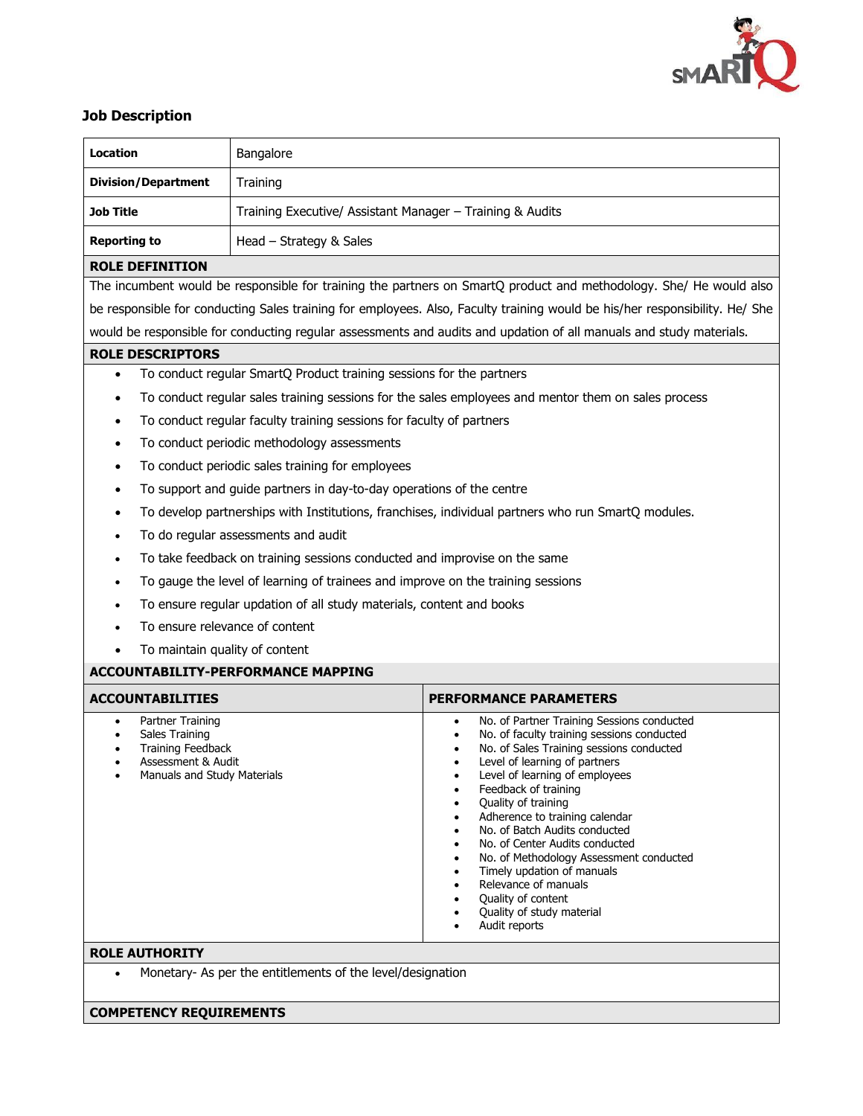

# **Job Description**

| Location                                                                                                                                     | Bangalore                                                 |                                                                                                                                                                                                                                                                                                                                                                                                                                                                                                                                  |
|----------------------------------------------------------------------------------------------------------------------------------------------|-----------------------------------------------------------|----------------------------------------------------------------------------------------------------------------------------------------------------------------------------------------------------------------------------------------------------------------------------------------------------------------------------------------------------------------------------------------------------------------------------------------------------------------------------------------------------------------------------------|
| <b>Division/Department</b>                                                                                                                   | Training                                                  |                                                                                                                                                                                                                                                                                                                                                                                                                                                                                                                                  |
| <b>Job Title</b>                                                                                                                             | Training Executive/ Assistant Manager - Training & Audits |                                                                                                                                                                                                                                                                                                                                                                                                                                                                                                                                  |
|                                                                                                                                              |                                                           |                                                                                                                                                                                                                                                                                                                                                                                                                                                                                                                                  |
| Head - Strategy & Sales<br><b>Reporting to</b>                                                                                               |                                                           |                                                                                                                                                                                                                                                                                                                                                                                                                                                                                                                                  |
| <b>ROLE DEFINITION</b><br>The incumbent would be responsible for training the partners on SmartQ product and methodology. She/ He would also |                                                           |                                                                                                                                                                                                                                                                                                                                                                                                                                                                                                                                  |
| be responsible for conducting Sales training for employees. Also, Faculty training would be his/her responsibility. He/ She                  |                                                           |                                                                                                                                                                                                                                                                                                                                                                                                                                                                                                                                  |
| would be responsible for conducting regular assessments and audits and updation of all manuals and study materials.                          |                                                           |                                                                                                                                                                                                                                                                                                                                                                                                                                                                                                                                  |
| <b>ROLE DESCRIPTORS</b>                                                                                                                      |                                                           |                                                                                                                                                                                                                                                                                                                                                                                                                                                                                                                                  |
| To conduct regular SmartQ Product training sessions for the partners<br>$\bullet$                                                            |                                                           |                                                                                                                                                                                                                                                                                                                                                                                                                                                                                                                                  |
| To conduct regular sales training sessions for the sales employees and mentor them on sales process<br>$\bullet$                             |                                                           |                                                                                                                                                                                                                                                                                                                                                                                                                                                                                                                                  |
| To conduct regular faculty training sessions for faculty of partners<br>٠                                                                    |                                                           |                                                                                                                                                                                                                                                                                                                                                                                                                                                                                                                                  |
| To conduct periodic methodology assessments<br>$\bullet$                                                                                     |                                                           |                                                                                                                                                                                                                                                                                                                                                                                                                                                                                                                                  |
| To conduct periodic sales training for employees<br>$\bullet$                                                                                |                                                           |                                                                                                                                                                                                                                                                                                                                                                                                                                                                                                                                  |
| To support and guide partners in day-to-day operations of the centre<br>$\bullet$                                                            |                                                           |                                                                                                                                                                                                                                                                                                                                                                                                                                                                                                                                  |
| To develop partnerships with Institutions, franchises, individual partners who run SmartQ modules.<br>$\bullet$                              |                                                           |                                                                                                                                                                                                                                                                                                                                                                                                                                                                                                                                  |
| To do regular assessments and audit<br>٠                                                                                                     |                                                           |                                                                                                                                                                                                                                                                                                                                                                                                                                                                                                                                  |
| To take feedback on training sessions conducted and improvise on the same<br>$\bullet$                                                       |                                                           |                                                                                                                                                                                                                                                                                                                                                                                                                                                                                                                                  |
| To gauge the level of learning of trainees and improve on the training sessions<br>$\bullet$                                                 |                                                           |                                                                                                                                                                                                                                                                                                                                                                                                                                                                                                                                  |
| To ensure regular updation of all study materials, content and books                                                                         |                                                           |                                                                                                                                                                                                                                                                                                                                                                                                                                                                                                                                  |
| To ensure relevance of content                                                                                                               |                                                           |                                                                                                                                                                                                                                                                                                                                                                                                                                                                                                                                  |
| To maintain quality of content                                                                                                               |                                                           |                                                                                                                                                                                                                                                                                                                                                                                                                                                                                                                                  |
| <b>ACCOUNTABILITY-PERFORMANCE MAPPING</b>                                                                                                    |                                                           |                                                                                                                                                                                                                                                                                                                                                                                                                                                                                                                                  |
| <b>ACCOUNTABILITIES</b>                                                                                                                      |                                                           | <b>PERFORMANCE PARAMETERS</b>                                                                                                                                                                                                                                                                                                                                                                                                                                                                                                    |
| Partner Training<br>Sales Training<br><b>Training Feedback</b><br>Assessment & Audit<br>Manuals and Study Materials                          |                                                           | No. of Partner Training Sessions conducted<br>No. of faculty training sessions conducted<br>No. of Sales Training sessions conducted<br>Level of learning of partners<br>Level of learning of employees<br>Feedback of training<br>Quality of training<br>Adherence to training calendar<br>No. of Batch Audits conducted<br>No. of Center Audits conducted<br>No. of Methodology Assessment conducted<br>Timely updation of manuals<br>Relevance of manuals<br>Quality of content<br>Quality of study material<br>Audit reports |
| <b>ROLE AUTHORITY</b>                                                                                                                        |                                                           |                                                                                                                                                                                                                                                                                                                                                                                                                                                                                                                                  |
| Monetary- As per the entitlements of the level/designation<br>$\bullet$                                                                      |                                                           |                                                                                                                                                                                                                                                                                                                                                                                                                                                                                                                                  |
| <b>COMPETENCY REQUIREMENTS</b>                                                                                                               |                                                           |                                                                                                                                                                                                                                                                                                                                                                                                                                                                                                                                  |